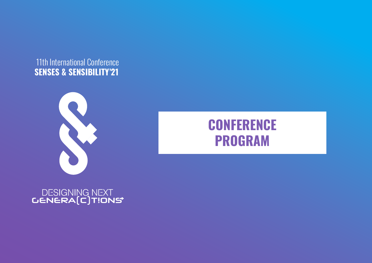## **11th International Conference SENSES & SENSIBILITY'21**



# **CONFERENCE PROGRAM**

# DESIGNING NEXT<br>CENERA(C)TIONS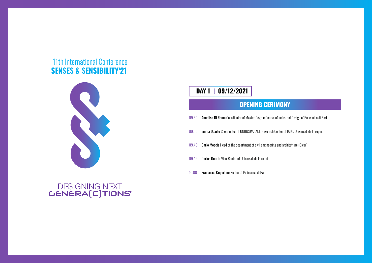- 09.35 Emília Duarte Coordinator of UNIDCOM/IADE Research Center of IADE, Universidade Europeia
- 09.40 Carlo Moccia Head of the department of civil engineering and architetture (Dicar)
- 09.45 Carlos Duarte Vice-Rector of Universidade Europeia
- 10.00 Francesco Cupertino Rector of Poliecnico di Bari

ndustrial Design of Poliecnico di Bari

### **OPENING CERIMONY**

| 09.30 Annalisa Di Roma Coordinator of Master Degree Course of In |
|------------------------------------------------------------------|
|                                                                  |

### 11th International Conference **SENSES & SENSIBILITY'21**



# DESIGNING NEXT<br>**GENERA(C)T!ONS**

### **DAY 1 09/12/2021**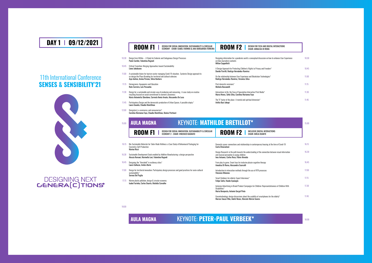18.00

- 10.30 Design from Within A Study for Endemic and Endogenous Design Processes Paolo Cardini, Valentina Rognoli
- 10.45 Critical Transition: Merging Approaches toward Sustainability Liene Jakobsone
- 11.00 A sustainable future for tourism sector managing Covid-19 situation. Systemic Design approach to co-design the Place Branding for territorial and cultural cohesion. Asja Aulisio, Amina Pereno, Silvia Barbero
- 11.15 Homegreens: Aquaponics and Education Rute Carreira, Luís Pessanha
- 11.30 Design for a sustainable and circular way of producing and consuming. A case study on creative recycling focused on social commitment to women's awareness Maria Antonietta Sbordone, Carmela Ilenia Amato, Alessandra De Luca
- 11.45 Participatory Design and the democratic production of Urban Spaces. A possible utopia.\* Laura Gouvêa, Claudia MontAlvao

12.00 Design(ers), e-commerce, and consumerism\* Carolina Marianna Faya, Claudia MontAlvao, Denise Portinari

### ROOM F2 **BESIGN FOR TECH AND DIGITAL INTERACTI**

Post-domestic commons\* Michela Bassanelli

16.30 Sustainable Development Goals enabled by Additive Manufacturing: a design perspective

16.45 Designing the "threshold" in resiliency cities\*

17.00 Design for territorial innovation. Participatory design processes and good practices for socio-cultural

17.15 Marine plastic pollution, design & circular economy

Designing information for a pandemic world: a conceptual discussion on how to enhance User Experience on Data Journalism contents Milton Cappelletti

Design Research: in the path towards the understanding of the connection between visual and musical perception in young children Ines Antunes, Carlos Rosa, Flávio Almeida

A Design Approach for Protecting Children's Rights to Privacy and Freedom\* Davide Parrilli, Rodrigo Hernández-Ramírez

On the relationship between User Experience and Blockchain Technologies\* Rodrigo Hernández-Ramírez, Veronica Silva

Inclusive Advertising in Brand Product Campaigns for Children: Representativeness of Chil Disabilities\* Maria Bemposta, Antonio Gorgel Pinto

Interactions to Be: the Case of Speculative Interactive Print Media\* Marco Neves, Sofia Silva, Carolina Marianna Faya

The "X" factor of the place- A mental and spiritual dimension\* Ardita Byci Jakupi

> 15.00 16.15  $30<sup>°</sup>$ 45

### 15.00 16.15 Bio-Sustainable Materials for Tailor-Made Wellness: a Case Study of Behavioural Packaging for Cosmetics Self-Production Marina Ricci Domestic space: connections and relationships in contemporary housing at the time of Cov Carla Chiarantoni KEYNOTE: **MATHILDE BRETILLOT\* ROOM F1** ECONOMY 2 - CHAIR: VINCENZO BAGNATO **ROOM F2** CHAIR: EMÍLIA DUARTE **AULA MAGNA**

Alessia Romani, Marinella Levi, Valentina Rognoli

Laura Galluzzo, Ambra Borin

### DESIGN FOR SOCIAL INNOVATION, SUSTAINABILITY & CIRCULAR ECONOMY - CHAIR: ISABEL FARINHA & ANA MARGARIDA FERREIRA **ROOM F1**

sustainability\* Serena Del Puglia

Isabel Farinha, Carlos Duarte, Mafalda Carvalho

From play to game. Smart toys for inclusive physio-cognitive therapy Annalisa Di Roma, Alessandra Scarcelli

Introduction to interaction methods through the use of RTR processes Vincenzo Minenna

Smart Outdoors for elderly: Expert Interviews\* Felipe Satte, Hande Ayanoglu

Gerontechnology: design discussions about the usability of smartphones for the elderly\* Marcos Souza Filho, André Neves, Marcelo Márcio Soares

### KEYNOTE: **PETER-PAUL VERBEEK\***

| ONS             |       |
|-----------------|-------|
| Iser Experience | 10.30 |
|                 | 10.45 |
|                 | 11.00 |
|                 | 11.15 |
|                 | 11.30 |
|                 | 11.45 |

|                   | 15.00 |
|-------------------|-------|
|                   |       |
| vid-19            | 16.15 |
| information       | 16.30 |
|                   | 16.45 |
|                   | 17.00 |
|                   | 17.15 |
| <b>Idren With</b> | 17.30 |
|                   | 17.45 |

18.00

### 11th International Conference **SENSES & SENSIBILITY'21**



# DESIGNING NEXT<br>**GENERA(C)TIONS**

### **DAY 1 09/12/2021**

**AULA MAGNA**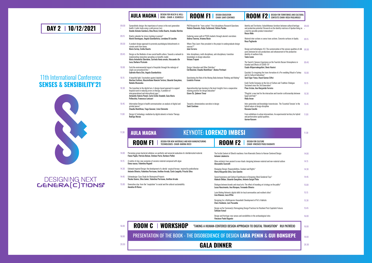+

11.30

**ROOM F1** DESIGN FOR NEW MATERIALS AND NEW MANUFACTURING

16.00

18.00

| etween cultural heritage 09.00<br>matrices of Apulian living as + |       |
|-------------------------------------------------------------------|-------|
| crete surfaces in Apulia. 09.15                                   |       |
| the sensory qualities of silk 09.30<br>ent of the productive      |       |
| Bazaar Atmospheres in                                             | 09.45 |
| e-wedding Ritual in Turkey 10.00                                  |       |
| radition: Dialogue                                                | 10.15 |
| er craftsmanship between 10.30                                    |       |
| Essential Tension' in the 10.45                                   |       |
| nental territory for hybrid                                       | 11.00 |

|                | í |
|----------------|---|
|                |   |
| I              | í |
| ulture         | í |
|                | í |
|                | í |
|                | í |
|                | í |
|                | í |
| 'es            | Í |
|                | í |
| UI PATRÍCIO    | í |
| <b>INSIEPE</b> | í |
|                |   |

| 11.30 |  |  |  |
|-------|--|--|--|
|       |  |  |  |
|       |  |  |  |
| 14.00 |  |  |  |
| 14.15 |  |  |  |
| 14.30 |  |  |  |
| 14.45 |  |  |  |
| 15.00 |  |  |  |
| 15.15 |  |  |  |
| 15.30 |  |  |  |
| 15.45 |  |  |  |
| 16.00 |  |  |  |
|       |  |  |  |
| 16.00 |  |  |  |
| 18.00 |  |  |  |
| 20.30 |  |  |  |

20.30

- 09.00 Synaesthetic design: the importance of senses in the next generation health. A pilot study using a cold pressor test. Davide Antonio Gambera, Dina Riccò, Emília Duarte, Amadeu Martins
- 09.15 Kinetic calendar for stress tracking in women\* Mariel Dominguez, Angela Giambattista, Loredana Di Lucchio

- 09.30 A product design approach to promote psychological detachments in remote work from home. Maria Cartay, Emília Duarte
- 09.45 Design as the Mediator of new social health culture. Towards a network to implementing innovative spreading co-benefits model. Maria Antonietta Sbordone, Carmela Ilenia amato, Alessandra De Luca, Barbara Pizzicato
- 10.00 Curb the environmental impact of hospitals through the redesign of single-use procedural kits.\* Gabriele Maria Cito, Angela Giambattista
- 10.15 A beautiful light. Fascination against depletion\* Martina Frattura, Massimiliano Mancini Tortora, Eduardo Gonçalves, Natalia Olszewska
- 10.30 The transition to the digital turn. A design-based approach to support hospital ward in reducing errors in therapy. A problem of intergenerational and intercultural gaps.\* Antonella Valeria Penati, Carlo Emilio Standoli, Gaia Maria Pellecchia, Francesca Lavizzari
- 10.45 Information Design in health communication: an analysis of digital and printed pieces\* Claudia MontAlvao, Tiago Gassner, Livia Clemente
- 11.00 Design & Technology: mediation by digital advents in Avatar Therapy Rodrigo Morais

### **ROOM F1** DESIGN EDUCATION

and production potential. Research on the identity a tool for possible product innovations\* Rocco Mele

Material inter-actions vs sense trans-actions. Conc Rosa Pagliarulo

Design and technologies 4.0. The custamization of yarns between lot zero productions and enhancement identity of southern Italy Tania Leone

The Tourist's Sensory Experience on the Touristic B Istanbul and Effects of COVID-19\* Ceyda Altiparmakogullari, Deniz Hasirci

Çeyizlab: Co-imagining the trans-formation of a Pre and its Cultural Indications\* Secil Ugur Yavuz, Hazal Gumus Ciftci

Ecolã Textile Company on the Axis of Culture and T Sustained since the 3rd Generation\* Pinar Arslan, Ana Margarida Ferreira

PhD Research for "trans-action": Post-disciplinary Research Questions Violeta Clemente, Katja Tschimmel, Fátima Pombo

> "Phygital: a new tool for the interaction and transfe Egypt and Italy"\* Hoda Aman

Inter-generation and knowledge transmission. The hybrid nature of design discipline Rossana Carullo

Exploring career path of PSSD students through alumni's narrations Andrea Taverna, Arianna Bosio

Where They Learn: How prevalent is the project in undergraduate design courses?\* João Ferreira

Inter-disciplinary, multi-disciplinary, anti-disciplinary: transition knowledges in design education Viviana Trapani

Design, Education and Other Diatribes\* Cid Boechat, Claudia MontAlvao\*, Denise Portinari

Questioning the Role of the Moving Body between Thinking and Making\* Liselotte Vroman

Apprenticeship type learning in the local: Insights from a cooperative weaving practice for design education\* Gizem Öz, Şebnem Timur

- 14.00 Perceiving grown bacterial cellulose: an aesthetic and sensorial evaluation of a biofabricated material. Flavia Papile, Patrizia Bolzan, Stefano Parisi, Barbara Pollini
- 14.15 A matter of clay: new scenarios of ceramic material composed with algae Elena rausse, Valentina Rognoli
- 14.30 Echinoid-inspired Design: the development of a dental surgical forceps inspired by pedicellariae Antonio Oliveira, Valentina Perricone, Amilton Arruda, Carla Langella, Priscila Silva
- 14.45 Echinodesign: Case Study for Bioinspired Projects Theska Soares, Silva Junior, Valentina Perricone, Amilton Arruda
- 15.00 Generative clay: from the "exaptation" to social and the cultural sustainability Annalisa Di Roma

Wine artefacts from ancient to new rituals: designing between material and non-material cu Alessandra Scarcelli

Towards a dimensionless narrative in design Santi Centineo

Identity and Territories: Autochthonous furniture be

Dialogue between brands and visual arts: The effect of branding art strategy on the public<sup>\*</sup> Lucas Nascimento, Ana Marques, Fernando Oliveira

Lazio Making Network: digital skills for local communities and resilient cities\* Lina Monaco, Luca D'Elia

Design as/for Common(s): Reimagining Design Practices for Resilient Post-Capitalist Futur Safouan Azouzi

From exhibitions to urban interventions. An experimental territory for hybrid and performative spatial qualities. Ayman Kassem

The Fertile Context of Olivetti machines: from Kinematic Device to Human-Centered Design Antonio Labalestra

Managing Design: Responsibilities, Conduct and Rights\* Maria Margarida Silva, Sara Gancho

Social Awareness and Cultural Significance in Designing (Non) Gendered Toys\* Alakesh Dhibar, Eduardo Gonçalves, Antonio Gorgel Pinto

Designing for a Multispecies Household: Development of Pet´s Habitats Clara Venâncio, Luís Pessanha

Design and Heritage: new senses and sensibilities in the archaeological sites Vincenzo Paolo Bagnato

**ROOM C | WORKSHOP** "TAKING A HUMAN-CENTERED DESIGN APPROACH TO DIGITAL TRANSITION" R

### KEYNOTE: **LORENZO IMBESI**

### **ROOM F2 CHAIR: VINCENZO PAOLO BAGNATO**

11.30 Keynote Speech: Gui Bonsiepe PRESENTATION OF THE BOOK - THE DISOBEDIENCE OF DESIGN **LARA PENIN** & **GUI BONSIEPE**

### **AULA MAGNA**

### 11th International Conference **SENSES & SENSIBILITY'21**



# DESIGNING NEXT<br>**GENERA(C)TIONS**

### **AULA MAGNA** BEING - CHAIR: A. SCARCELLI

### **DAY 2 10/12/2021**



### ROOM F2<sup>| DESIGN FOR TERRITORIES AND CULTURAL</sup>